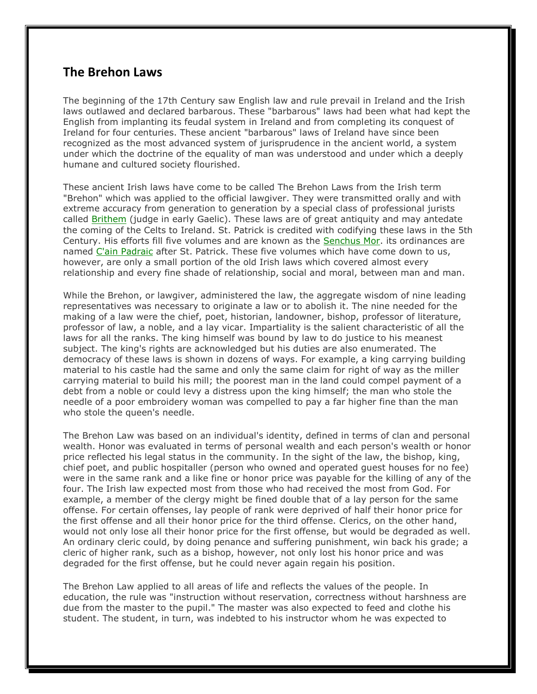## **The Brehon Laws**

The beginning of the 17th Century saw English law and rule prevail in Ireland and the Irish laws outlawed and declared barbarous. These "barbarous" laws had been what had kept the English from implanting its feudal system in Ireland and from completing its conquest of Ireland for four centuries. These ancient "barbarous" laws of Ireland have since been recognized as the most advanced system of jurisprudence in the ancient world, a system under which the doctrine of the equality of man was understood and under which a deeply humane and cultured society flourished.

These ancient Irish laws have come to be called The Brehon Laws from the Irish term "Brehon" which was applied to the official lawgiver. They were transmitted orally and with extreme accuracy from generation to generation by a special class of professional jurists called Brithem (judge in early Gaelic). These laws are of great antiquity and may antedate the coming of the Celts to Ireland. St. Patrick is credited with codifying these laws in the 5th Century. His efforts fill five volumes and are known as the Senchus Mor. its ordinances are named C'ain Padraic after St. Patrick. These five volumes which have come down to us, however, are only a small portion of the old Irish laws which covered almost every relationship and every fine shade of relationship, social and moral, between man and man.

While the Brehon, or lawgiver, administered the law, the aggregate wisdom of nine leading representatives was necessary to originate a law or to abolish it. The nine needed for the making of a law were the chief, poet, historian, landowner, bishop, professor of literature, professor of law, a noble, and a lay vicar. Impartiality is the salient characteristic of all the laws for all the ranks. The king himself was bound by law to do justice to his meanest subject. The king's rights are acknowledged but his duties are also enumerated. The democracy of these laws is shown in dozens of ways. For example, a king carrying building material to his castle had the same and only the same claim for right of way as the miller carrying material to build his mill; the poorest man in the land could compel payment of a debt from a noble or could levy a distress upon the king himself; the man who stole the needle of a poor embroidery woman was compelled to pay a far higher fine than the man who stole the queen's needle.

The Brehon Law was based on an individual's identity, defined in terms of clan and personal wealth. Honor was evaluated in terms of personal wealth and each person's wealth or honor price reflected his legal status in the community. In the sight of the law, the bishop, king, chief poet, and public hospitaller (person who owned and operated guest houses for no fee) were in the same rank and a like fine or honor price was payable for the killing of any of the four. The Irish law expected most from those who had received the most from God. For example, a member of the clergy might be fined double that of a lay person for the same offense. For certain offenses, lay people of rank were deprived of half their honor price for the first offense and all their honor price for the third offense. Clerics, on the other hand, would not only lose all their honor price for the first offense, but would be degraded as well. An ordinary cleric could, by doing penance and suffering punishment, win back his grade; a cleric of higher rank, such as a bishop, however, not only lost his honor price and was degraded for the first offense, but he could never again regain his position.

The Brehon Law applied to all areas of life and reflects the values of the people. In education, the rule was "instruction without reservation, correctness without harshness are due from the master to the pupil." The master was also expected to feed and clothe his student. The student, in turn, was indebted to his instructor whom he was expected to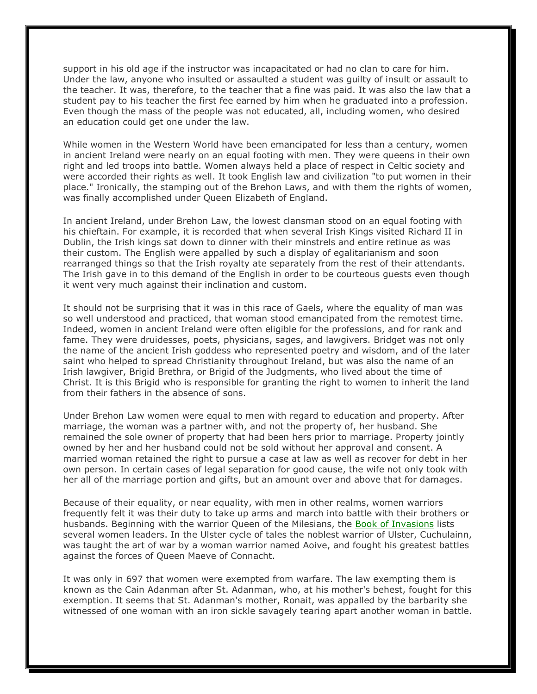support in his old age if the instructor was incapacitated or had no clan to care for him. Under the law, anyone who insulted or assaulted a student was guilty of insult or assault to the teacher. It was, therefore, to the teacher that a fine was paid. It was also the law that a student pay to his teacher the first fee earned by him when he graduated into a profession. Even though the mass of the people was not educated, all, including women, who desired an education could get one under the law.

While women in the Western World have been emancipated for less than a century, women in ancient Ireland were nearly on an equal footing with men. They were queens in their own right and led troops into battle. Women always held a place of respect in Celtic society and were accorded their rights as well. It took English law and civilization "to put women in their place." Ironically, the stamping out of the Brehon Laws, and with them the rights of women, was finally accomplished under Queen Elizabeth of England.

In ancient Ireland, under Brehon Law, the lowest clansman stood on an equal footing with his chieftain. For example, it is recorded that when several Irish Kings visited Richard II in Dublin, the Irish kings sat down to dinner with their minstrels and entire retinue as was their custom. The English were appalled by such a display of egalitarianism and soon rearranged things so that the Irish royalty ate separately from the rest of their attendants. The Irish gave in to this demand of the English in order to be courteous guests even though it went very much against their inclination and custom.

It should not be surprising that it was in this race of Gaels, where the equality of man was so well understood and practiced, that woman stood emancipated from the remotest time. Indeed, women in ancient Ireland were often eligible for the professions, and for rank and fame. They were druidesses, poets, physicians, sages, and lawgivers. Bridget was not only the name of the ancient Irish goddess who represented poetry and wisdom, and of the later saint who helped to spread Christianity throughout Ireland, but was also the name of an Irish lawgiver, Brigid Brethra, or Brigid of the Judgments, who lived about the time of Christ. It is this Brigid who is responsible for granting the right to women to inherit the land from their fathers in the absence of sons.

Under Brehon Law women were equal to men with regard to education and property. After marriage, the woman was a partner with, and not the property of, her husband. She remained the sole owner of property that had been hers prior to marriage. Property jointly owned by her and her husband could not be sold without her approval and consent. A married woman retained the right to pursue a case at law as well as recover for debt in her own person. In certain cases of legal separation for good cause, the wife not only took with her all of the marriage portion and gifts, but an amount over and above that for damages.

Because of their equality, or near equality, with men in other realms, women warriors frequently felt it was their duty to take up arms and march into battle with their brothers or husbands. Beginning with the warrior Queen of the Milesians, the Book of Invasions lists several women leaders. In the Ulster cycle of tales the noblest warrior of Ulster, Cuchulainn, was taught the art of war by a woman warrior named Aoive, and fought his greatest battles against the forces of Queen Maeve of Connacht.

It was only in 697 that women were exempted from warfare. The law exempting them is known as the Cain Adanman after St. Adanman, who, at his mother's behest, fought for this exemption. It seems that St. Adanman's mother, Ronait, was appalled by the barbarity she witnessed of one woman with an iron sickle savagely tearing apart another woman in battle.